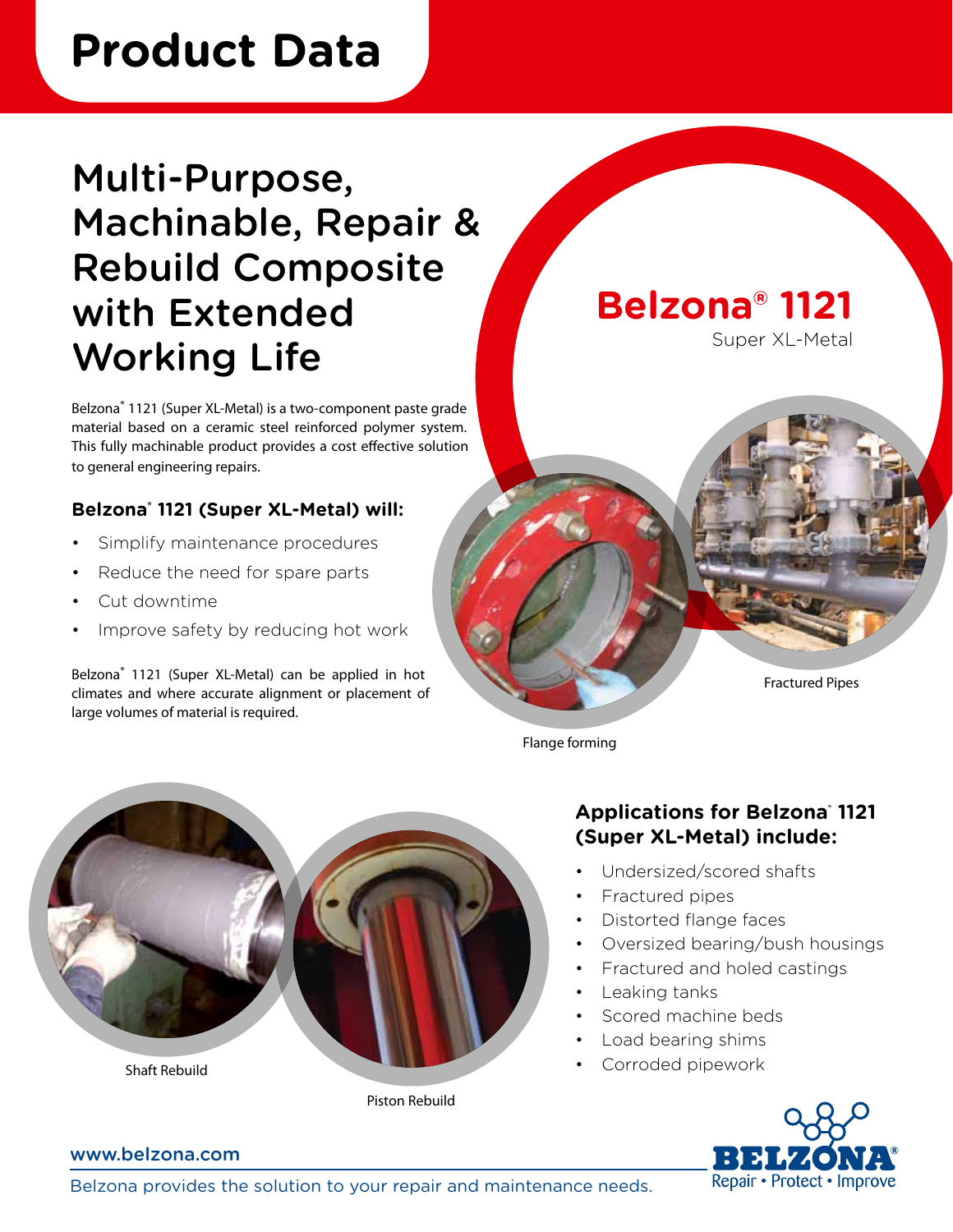# **Product Data**

### Multi-Purpose, Machinable, Repair & Rebuild Composite with Extended Working Life

Belzona® 1121 (Super XL-Metal) is a two-component paste grade material based on a ceramic steel reinforced polymer system. This fully machinable product provides a cost effective solution to general engineering repairs.

#### **Belzona**®  **1121 (Super XL-Metal) will:**

- Simplify maintenance procedures
- Reduce the need for spare parts
- Cut downtime
- Improve safety by reducing hot work

Belzona® 1121 (Super XL-Metal) can be applied in hot climates and where accurate alignment or placement of large volumes of material is required.

**Belzona® 1121**

Super XL-Metal

Fractured Pipes

Flange forming



Shaft Rebuild

#### Piston Rebuild

#### **Applications for Belzona**®  **1121 (Super XL-Metal) include:**

- Undersized/scored shafts
- • Fractured pipes
- • Distorted flange faces
- • Oversized bearing/bush housings
- Fractured and holed castings
- Leaking tanks
- Scored machine beds
- • Load bearing shims
- Corroded pipework



#### www.belzona.com

Belzona provides the solution to your repair and maintenance needs.